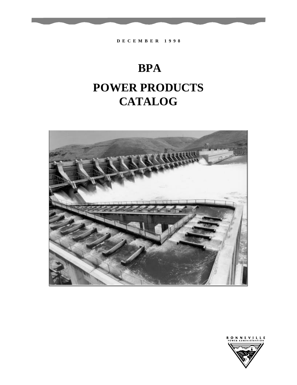



**BPA POWER PRODUCTS CATALOG**

**D E C E M B E R 1 9 9 8**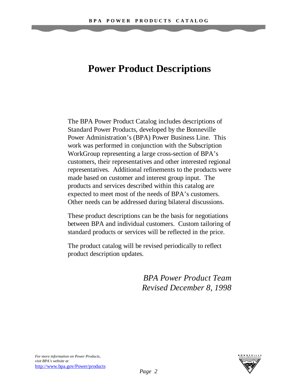# **Power Product Descriptions**

The BPA Power Product Catalog includes descriptions of Standard Power Products, developed by the Bonneville Power Administration's (BPA) Power Business Line. This work was performed in conjunction with the Subscription WorkGroup representing a large cross-section of BPA's customers, their representatives and other interested regional representatives. Additional refinements to the products were made based on customer and interest group input. The products and services described within this catalog are expected to meet most of the needs of BPA's customers. Other needs can be addressed during bilateral discussions.

These product descriptions can be the basis for negotiations between BPA and individual customers. Custom tailoring of standard products or services will be reflected in the price.

The product catalog will be revised periodically to reflect product description updates.

> *BPA Power Product Team Revised December 8, 1998*



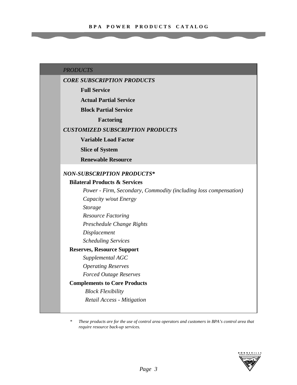#### *PRODUCTS*

### *CORE SUBSCRIPTION PRODUCTS*

**Full Service**

**Actual Partial Service**

**Block Partial Service**

**Factoring**

#### *CUSTOMIZED SUBSCRIPTION PRODUCTS*

**Variable Load Factor**

**Slice of System**

**Renewable Resource**

# *NON-SUBSCRIPTION PRODUCTS***\***

#### **Bilateral Products & Services**

*Power - Firm, Secondary, Commodity (including loss compensation) Capacity w/out Energy Storage Resource Factoring Preschedule Change Rights Displacement Scheduling Services* **Reserves, Resource Support** *Supplemental AGC Operating Reserves Forced Outage Reserves* **Complements to Core Products**

*Block Flexibility Retail Access - Mitigation*

*\* These products are for the use of control area operators and customers in BPA's control area that require resource back-up services.*

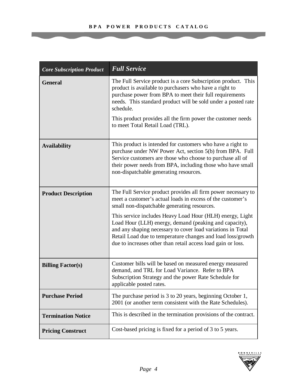| <b>Core Subscription Product</b> | <b>Full Service</b>                                                                                                                                                                                                                                                                                               |
|----------------------------------|-------------------------------------------------------------------------------------------------------------------------------------------------------------------------------------------------------------------------------------------------------------------------------------------------------------------|
| <b>General</b>                   | The Full Service product is a core Subscription product. This<br>product is available to purchasers who have a right to<br>purchase power from BPA to meet their full requirements<br>needs. This standard product will be sold under a posted rate<br>schedule.                                                  |
|                                  | This product provides all the firm power the customer needs<br>to meet Total Retail Load (TRL).                                                                                                                                                                                                                   |
| <b>Availability</b>              | This product is intended for customers who have a right to<br>purchase under NW Power Act, section 5(b) from BPA. Full<br>Service customers are those who choose to purchase all of<br>their power needs from BPA, including those who have small<br>non-dispatchable generating resources.                       |
| <b>Product Description</b>       | The Full Service product provides all firm power necessary to<br>meet a customer's actual loads in excess of the customer's<br>small non-dispatchable generating resources.                                                                                                                                       |
|                                  | This service includes Heavy Load Hour (HLH) energy, Light<br>Load Hour (LLH) energy, demand (peaking and capacity),<br>and any shaping necessary to cover load variations in Total<br>Retail Load due to temperature changes and load loss/growth<br>due to increases other than retail access load gain or loss. |
| <b>Billing Factor(s)</b>         | Customer bills will be based on measured energy measured<br>demand, and TRL for Load Variance. Refer to BPA<br>Subscription Strategy and the power Rate Schedule for<br>applicable posted rates.                                                                                                                  |
| <b>Purchase Period</b>           | The purchase period is 3 to 20 years, beginning October 1,<br>2001 (or another term consistent with the Rate Schedules).                                                                                                                                                                                          |
| <b>Termination Notice</b>        | This is described in the termination provisions of the contract.                                                                                                                                                                                                                                                  |
| <b>Pricing Construct</b>         | Cost-based pricing is fixed for a period of 3 to 5 years.                                                                                                                                                                                                                                                         |

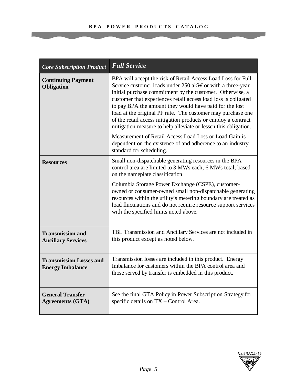| <b>Core Subscription Product</b>                          | <b>Full Service</b>                                                                                                                                                                                                                                                                                                                                                                                                                                                                                                                                                                                                                                                        |
|-----------------------------------------------------------|----------------------------------------------------------------------------------------------------------------------------------------------------------------------------------------------------------------------------------------------------------------------------------------------------------------------------------------------------------------------------------------------------------------------------------------------------------------------------------------------------------------------------------------------------------------------------------------------------------------------------------------------------------------------------|
| <b>Continuing Payment</b><br><b>Obligation</b>            | BPA will accept the risk of Retail Access Load Loss for Full<br>Service customer loads under 250 akW or with a three-year<br>initial purchase commitment by the customer. Otherwise, a<br>customer that experiences retail access load loss is obligated<br>to pay BPA the amount they would have paid for the lost<br>load at the original PF rate. The customer may purchase one<br>of the retail access mitigation products or employ a contract<br>mitigation measure to help alleviate or lessen this obligation.<br>Measurement of Retail Access Load Loss or Load Gain is<br>dependent on the existence of and adherence to an industry<br>standard for scheduling. |
| <b>Resources</b>                                          | Small non-dispatchable generating resources in the BPA<br>control area are limited to 3 MWs each, 6 MWs total, based<br>on the nameplate classification.                                                                                                                                                                                                                                                                                                                                                                                                                                                                                                                   |
|                                                           | Columbia Storage Power Exchange (CSPE), customer-<br>owned or consumer-owned small non-dispatchable generating<br>resources within the utility's metering boundary are treated as<br>load fluctuations and do not require resource support services<br>with the specified limits noted above.                                                                                                                                                                                                                                                                                                                                                                              |
| <b>Transmission and</b><br><b>Ancillary Services</b>      | TBL Transmission and Ancillary Services are not included in<br>this product except as noted below.                                                                                                                                                                                                                                                                                                                                                                                                                                                                                                                                                                         |
| <b>Transmission Losses and</b><br><b>Energy Imbalance</b> | Transmission losses are included in this product. Energy<br>Imbalance for customers within the BPA control area and<br>those served by transfer is embedded in this product.                                                                                                                                                                                                                                                                                                                                                                                                                                                                                               |
| <b>General Transfer</b><br><b>Agreements (GTA)</b>        | See the final GTA Policy in Power Subscription Strategy for<br>specific details on TX - Control Area.                                                                                                                                                                                                                                                                                                                                                                                                                                                                                                                                                                      |

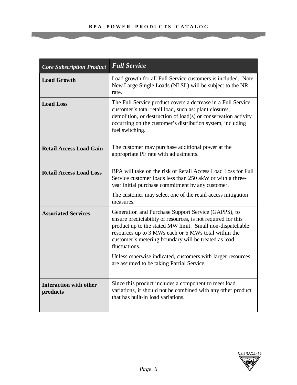| <b>Core Subscription Product</b>          | <b>Full Service</b>                                                                                                                                                                                                                                                                                                                                                              |
|-------------------------------------------|----------------------------------------------------------------------------------------------------------------------------------------------------------------------------------------------------------------------------------------------------------------------------------------------------------------------------------------------------------------------------------|
| <b>Load Growth</b>                        | Load growth for all Full Service customers is included. Note:<br>New Large Single Loads (NLSL) will be subject to the NR<br>rate.                                                                                                                                                                                                                                                |
| <b>Load Loss</b>                          | The Full Service product covers a decrease in a Full Service<br>customer's total retail load, such as: plant closures,<br>demolition, or destruction of load(s) or conservation activity<br>occurring on the customer's distribution system, including<br>fuel switching.                                                                                                        |
| <b>Retail Access Load Gain</b>            | The customer may purchase additional power at the<br>appropriate PF rate with adjustments.                                                                                                                                                                                                                                                                                       |
| <b>Retail Access Load Loss</b>            | BPA will take on the risk of Retail Access Load Loss for Full<br>Service customer loads less than 250 akW or with a three-<br>year initial purchase commitment by any customer.                                                                                                                                                                                                  |
|                                           | The customer may select one of the retail access mitigation<br>measures.                                                                                                                                                                                                                                                                                                         |
| <b>Associated Services</b>                | Generation and Purchase Support Service (GAPPS), to<br>ensure predictability of resources, is not required for this<br>product up to the stated MW limit. Small non-dispatchable<br>resources up to 3 MWs each or 6 MWs total within the<br>customer's metering boundary will be treated as load<br>fluctuations.<br>Unless otherwise indicated, customers with larger resources |
|                                           | are assumed to be taking Partial Service.                                                                                                                                                                                                                                                                                                                                        |
| <b>Interaction with other</b><br>products | Since this product includes a component to meet load<br>variations, it should not be combined with any other product<br>that has built-in load variations.                                                                                                                                                                                                                       |

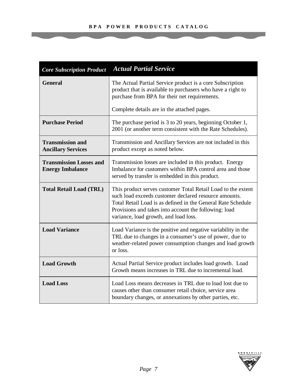| <b>Core Subscription Product</b>                          | <b>Actual Partial Service</b>                                                                                                                                                                                                                                                           |
|-----------------------------------------------------------|-----------------------------------------------------------------------------------------------------------------------------------------------------------------------------------------------------------------------------------------------------------------------------------------|
| <b>General</b>                                            | The Actual Partial Service product is a core Subscription<br>product that is available to purchasers who have a right to<br>purchase from BPA for their net requirements.                                                                                                               |
|                                                           | Complete details are in the attached pages.                                                                                                                                                                                                                                             |
| <b>Purchase Period</b>                                    | The purchase period is 3 to 20 years, beginning October 1,<br>2001 (or another term consistent with the Rate Schedules).                                                                                                                                                                |
| <b>Transmission and</b><br><b>Ancillary Services</b>      | Transmission and Ancillary Services are not included in this<br>product except as noted below.                                                                                                                                                                                          |
| <b>Transmission Losses and</b><br><b>Energy Imbalance</b> | Transmission losses are included in this product. Energy<br>Imbalance for customers within BPA control area and those<br>served by transfer is embedded in this product.                                                                                                                |
| <b>Total Retail Load (TRL)</b>                            | This product serves customer Total Retail Load to the extent<br>such load exceeds customer declared resource amounts.<br>Total Retail Load is as defined in the General Rate Schedule<br>Provisions and takes into account the following: load<br>variance, load growth, and load loss. |
| <b>Load Variance</b>                                      | Load Variance is the positive and negative variability in the<br>TRL due to changes in a consumer's use of power, due to<br>weather-related power consumption changes and load growth<br>or loss.                                                                                       |
| <b>Load Growth</b>                                        | Actual Partial Service product includes load growth. Load<br>Growth means increases in TRL due to incremental load.                                                                                                                                                                     |
| <b>Load Loss</b>                                          | Load Loss means decreases in TRL due to load lost due to<br>causes other than consumer retail choice, service area<br>boundary changes, or annexations by other parties, etc.                                                                                                           |

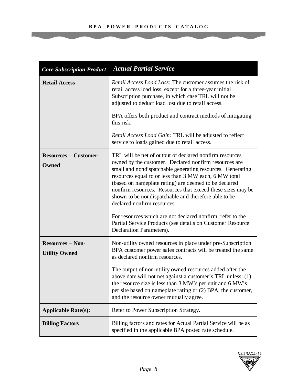| <b>Core Subscription Product</b>                | <b>Actual Partial Service</b>                                                                                                                                                                                                                                                                                                                                                                                                                                                                                                                                                      |  |
|-------------------------------------------------|------------------------------------------------------------------------------------------------------------------------------------------------------------------------------------------------------------------------------------------------------------------------------------------------------------------------------------------------------------------------------------------------------------------------------------------------------------------------------------------------------------------------------------------------------------------------------------|--|
| <b>Retail Access</b>                            | <i>Retail Access Load Loss:</i> The customer assumes the risk of<br>retail access load loss, except for a three-year initial<br>Subscription purchase, in which case TRL will not be<br>adjusted to deduct load lost due to retail access.                                                                                                                                                                                                                                                                                                                                         |  |
|                                                 | BPA offers both product and contract methods of mitigating<br>this risk.                                                                                                                                                                                                                                                                                                                                                                                                                                                                                                           |  |
|                                                 | Retail Access Load Gain: TRL will be adjusted to reflect<br>service to loads gained due to retail access.                                                                                                                                                                                                                                                                                                                                                                                                                                                                          |  |
| <b>Resources – Customer</b><br>Owned            | TRL will be net of output of declared nonfirm resources<br>owned by the customer. Declared nonfirm resources are<br>small and nondispatchable generating resources. Generating<br>resources equal to or less than 3 MW each, 6 MW total<br>(based on nameplate rating) are deemed to be declared<br>nonfirm resources. Resources that exceed these sizes may be<br>shown to be nondispatchable and therefore able to be<br>declared nonfirm resources.<br>For resources which are not declared nonfirm, refer to the<br>Partial Service Products (see details on Customer Resource |  |
|                                                 | Declaration Parameters).                                                                                                                                                                                                                                                                                                                                                                                                                                                                                                                                                           |  |
| <b>Resources - Non-</b><br><b>Utility Owned</b> | Non-utility owned resources in place under pre-Subscription<br>BPA customer power sales contracts will be treated the same<br>as declared nonfirm resources.                                                                                                                                                                                                                                                                                                                                                                                                                       |  |
|                                                 | The output of non-utility owned resources added after the<br>above date will not net against a customer's TRL unless: (1)<br>the resource size is less than 3 MW's per unit and 6 MW's<br>per site based on nameplate rating or (2) BPA, the customer,<br>and the resource owner mutually agree.                                                                                                                                                                                                                                                                                   |  |
| <b>Applicable Rate(s):</b>                      | Refer to Power Subscription Strategy.                                                                                                                                                                                                                                                                                                                                                                                                                                                                                                                                              |  |
| <b>Billing Factors</b>                          | Billing factors and rates for Actual Partial Service will be as<br>specified in the applicable BPA posted rate schedule.                                                                                                                                                                                                                                                                                                                                                                                                                                                           |  |

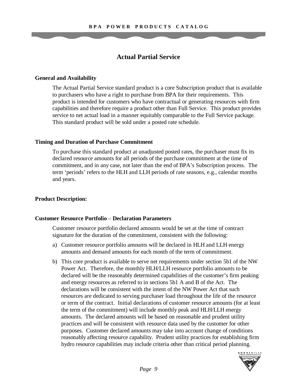# **Actual Partial Service**

#### **General and Availability**

The Actual Partial Service standard product is a core Subscription product that is available to purchasers who have a right to purchase from BPA for their requirements. This product is intended for customers who have contractual or generating resources with firm capabilities and therefore require a product other than Full Service. This product provides service to net actual load in a manner equitably comparable to the Full Service package. This standard product will be sold under a posted rate schedule.

#### **Timing and Duration of Purchase Commitment**

To purchase this standard product at unadjusted posted rates, the purchaser must fix its declared resource amounts for all periods of the purchase commitment at the time of commitment, and in any case, not later than the end of BPA's Subscription process. The term 'periods' refers to the HLH and LLH periods of rate seasons, e.g., calendar months and years.

### **Product Description:**

#### **Customer Resource Portfolio** – **Declaration Parameters**

Customer resource portfolio declared amounts would be set at the time of contract signature for the duration of the commitment, consistent with the following:

- a) Customer resource portfolio amounts will be declared in HLH and LLH energy amounts and demand amounts for each month of the term of commitment.
- b) This core product is available to serve net requirements under section 5b1 of the NW Power Act. Therefore, the monthly HLH/LLH resource portfolio amounts to be declared will be the reasonably determined capabilities of the customer's firm peaking and energy resources as referred to in sections 5b1 A and B of the Act. The declarations will be consistent with the intent of the NW Power Act that such resources are dedicated to serving purchaser load throughout the life of the resource or term of the contract. Initial declarations of customer resource amounts (for at least the term of the commitment) will include monthly peak and HLH/LLH energy amounts. The declared amounts will be based on reasonable and prudent utility practices and will be consistent with resource data used by the customer for other purposes. Customer declared amounts may take into account change of conditions reasonably affecting resource capability. Prudent utility practices for establishing firm hydro resource capabilities may include criteria other than critical period planning.

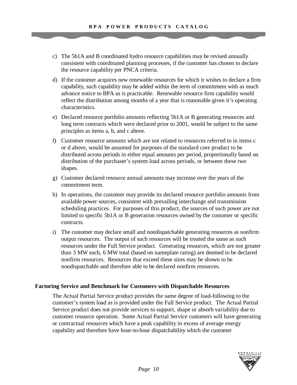- c) The 5b1A and B coordinated hydro resource capabilities may be revised annually consistent with coordinated planning processes, if the customer has chosen to declare the resource capability per PNCA criteria.
- d) If the customer acquires new renewable resources for which it wishes to declare a firm capability, such capability may be added within the term of commitment with as much advance notice to BPA as is practicable. Renewable resource firm capability would reflect the distribution among months of a year that is reasonable given it's operating characteristics.
- e) Declared resource portfolio amounts reflecting 5b1A or B generating resources and long term contracts which were declared prior to 2001, would be subject to the same principles as items a, b, and c above.
- f) Customer resource amounts which are not related to resources referred to in items c or d above, would be assumed for purposes of the standard core product to be distributed across periods in either equal amounts per period, proportionally based on distribution of the purchaser's system load across periods, or between these two shapes.
- g) Customer declared resource annual amounts may increase over the years of the commitment term.
- h) In operations, the customer may provide its declared resource portfolio amounts from available power sources, consistent with prevailing interchange and transmission scheduling practices. For purposes of this product, the sources of such power are not limited to specific 5b1A or B generation resources owned by the customer or specific contracts.
- i) The customer may declare small and nondispatchable generating resources as nonfirm output resources. The output of such resources will be treated the same as such resources under the Full Service product. Generating resources, which are not greater than 3 MW each, 6 MW total (based on nameplate rating) are deemed to be declared nonfirm resources. Resources that exceed these sizes may be shown to be nondispatchable and therefore able to be declared nonfirm resources.

### **Factoring Service and Benchmark for Customers with Dispatchable Resources**

The Actual Partial Service product provides the same degree of load-following to the customer's system load as is provided under the Full Service product. The Actual Partial Service product does not provide services to support, shape or absorb variability due to customer resource operation. Some Actual Partial Service customers will have generating or contractual resources which have a peak capability in excess of average energy capability and therefore have hour-to-hour dispatchability which the customer

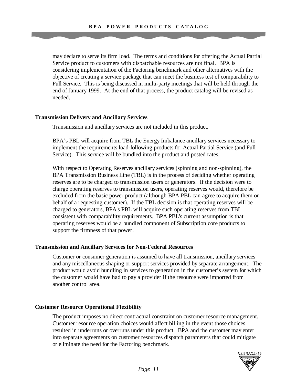may declare to serve its firm load. The terms and conditions for offering the Actual Partial Service product to customers with dispatchable resources are not final. BPA is considering implementation of the Factoring benchmark and other alternatives with the objective of creating a service package that can meet the business test of comparability to Full Service. This is being discussed in multi-party meetings that will be held through the end of January 1999. At the end of that process, the product catalog will be revised as needed.

### **Transmission Delivery and Ancillary Services**

Transmission and ancillary services are not included in this product.

BPA's PBL will acquire from TBL the Energy Imbalance ancillary services necessary to implement the requirements load-following products for Actual Partial Service (and Full Service). This service will be bundled into the product and posted rates.

With respect to Operating Reserves ancillary services (spinning and non-spinning), the BPA Transmission Business Line (TBL) is in the process of deciding whether operating reserves are to be charged to transmission users or generators. If the decision were to charge operating reserves to transmission users, operating reserves would, therefore be excluded from the basic power product (although BPA PBL can agree to acquire them on behalf of a requesting customer). If the TBL decision is that operating reserves will be charged to generators, BPA's PBL will acquire such operating reserves from TBL consistent with comparability requirements. BPA PBL's current assumption is that operating reserves would be a bundled component of Subscription core products to support the firmness of that power.

#### **Transmission and Ancillary Services for Non-Federal Resources**

Customer or consumer generation is assumed to have all transmission, ancillary services and any miscellaneous shaping or support services provided by separate arrangement. The product would avoid bundling in services to generation in the customer's system for which the customer would have had to pay a provider if the resource were imported from another control area.

#### **Customer Resource Operational Flexibility**

The product imposes no direct contractual constraint on customer resource management. Customer resource operation choices would affect billing in the event those choices resulted in underruns or overruns under this product. BPA and the customer may enter into separate agreements on customer resources dispatch parameters that could mitigate or eliminate the need for the Factoring benchmark.

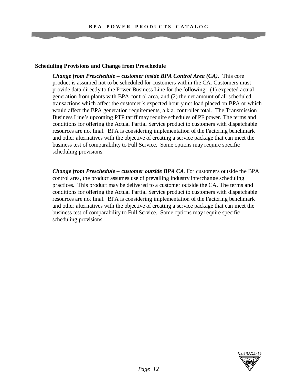#### **Scheduling Provisions and Change from Preschedule**

*Change from Preschedule – customer inside BPA Control Area (CA).* This core product is assumed not to be scheduled for customers within the CA. Customers must provide data directly to the Power Business Line for the following: (1) expected actual generation from plants with BPA control area, and (2) the net amount of all scheduled transactions which affect the customer's expected hourly net load placed on BPA or which would affect the BPA generation requirements, a.k.a. controller total. The Transmission Business Line's upcoming PTP tariff may require schedules of PF power*.* The terms and conditions for offering the Actual Partial Service product to customers with dispatchable resources are not final. BPA is considering implementation of the Factoring benchmark and other alternatives with the objective of creating a service package that can meet the business test of comparability to Full Service. Some options may require specific scheduling provisions.

*Change from Preschedule – customer outside BPA CA*. For customers outside the BPA control area, the product assumes use of prevailing industry interchange scheduling practices. This product may be delivered to a customer outside the CA. The terms and conditions for offering the Actual Partial Service product to customers with dispatchable resources are not final. BPA is considering implementation of the Factoring benchmark and other alternatives with the objective of creating a service package that can meet the business test of comparability to Full Service. Some options may require specific scheduling provisions.

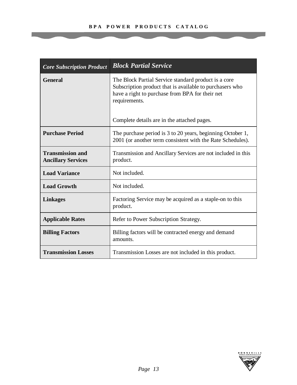#### **B P A P O W E R P R O D U C T S C A T A L O G**

| <b>Core Subscription Product</b>                     | <b>Block Partial Service</b>                                                                                                                                                         |
|------------------------------------------------------|--------------------------------------------------------------------------------------------------------------------------------------------------------------------------------------|
| <b>General</b>                                       | The Block Partial Service standard product is a core<br>Subscription product that is available to purchasers who<br>have a right to purchase from BPA for their net<br>requirements. |
|                                                      | Complete details are in the attached pages.                                                                                                                                          |
| <b>Purchase Period</b>                               | The purchase period is 3 to 20 years, beginning October 1,<br>2001 (or another term consistent with the Rate Schedules).                                                             |
| <b>Transmission and</b><br><b>Ancillary Services</b> | Transmission and Ancillary Services are not included in this<br>product.                                                                                                             |
| <b>Load Variance</b>                                 | Not included.                                                                                                                                                                        |
| <b>Load Growth</b>                                   | Not included.                                                                                                                                                                        |
| <b>Linkages</b>                                      | Factoring Service may be acquired as a staple-on to this<br>product.                                                                                                                 |
| <b>Applicable Rates</b>                              | Refer to Power Subscription Strategy.                                                                                                                                                |
| <b>Billing Factors</b>                               | Billing factors will be contracted energy and demand<br>amounts.                                                                                                                     |
| <b>Transmission Losses</b>                           | Transmission Losses are not included in this product.                                                                                                                                |

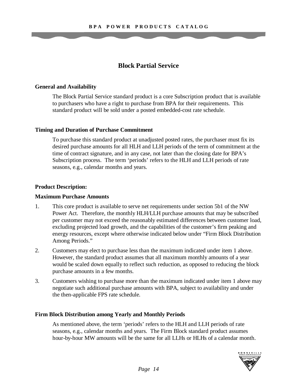# **Block Partial Service**

# **General and Availability**

The Block Partial Service standard product is a core Subscription product that is available to purchasers who have a right to purchase from BPA for their requirements. This standard product will be sold under a posted embedded-cost rate schedule.

# **Timing and Duration of Purchase Commitment**

To purchase this standard product at unadjusted posted rates, the purchaser must fix its desired purchase amounts for all HLH and LLH periods of the term of commitment at the time of contract signature, and in any case, not later than the closing date for BPA's Subscription process. The term 'periods' refers to the HLH and LLH periods of rate seasons, e.g., calendar months and years.

# **Product Description:**

### **Maximum Purchase Amounts**

- 1. This core product is available to serve net requirements under section 5b1 of the NW Power Act. Therefore, the monthly HLH/LLH purchase amounts that may be subscribed per customer may not exceed the reasonably estimated differences between customer load, excluding projected load growth, and the capabilities of the customer's firm peaking and energy resources, except where otherwise indicated below under "Firm Block Distribution Among Periods."
- 2. Customers may elect to purchase less than the maximum indicated under item 1 above. However, the standard product assumes that all maximum monthly amounts of a year would be scaled down equally to reflect such reduction, as opposed to reducing the block purchase amounts in a few months.
- 3. Customers wishing to purchase more than the maximum indicated under item 1 above may negotiate such additional purchase amounts with BPA, subject to availability and under the then-applicable FPS rate schedule.

# **Firm Block Distribution among Yearly and Monthly Periods**

As mentioned above, the term 'periods' refers to the HLH and LLH periods of rate seasons, e.g., calendar months and years. The Firm Block standard product assumes hour-by-hour MW amounts will be the same for all LLHs or HLHs of a calendar month.

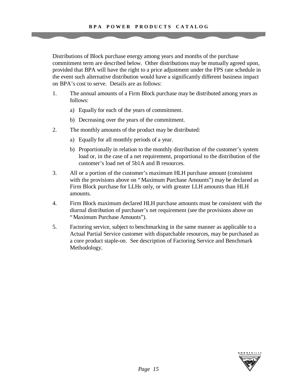Distributions of Block purchase energy among years and months of the purchase commitment term are described below. Other distributions may be mutually agreed upon, provided that BPA will have the right to a price adjustment under the FPS rate schedule in the event such alternative distribution would have a significantly different business impact on BPA's cost to serve. Details are as follows:

- 1. The annual amounts of a Firm Block purchase may be distributed among years as follows:
	- a) Equally for each of the years of commitment.
	- b) Decreasing over the years of the commitment.
- 2. The monthly amounts of the product may be distributed:
	- a) Equally for all monthly periods of a year.
	- b) Proportionally in relation to the monthly distribution of the customer's system load or, in the case of a net requirement, proportional to the distribution of the customer's load net of 5b1A and B resources.
- 3. All or a portion of the customer's maximum HLH purchase amount (consistent with the provisions above on "Maximum Purchase Amounts") may be declared as Firm Block purchase for LLHs only, or with greater LLH amounts than HLH amounts.
- 4. Firm Block maximum declared HLH purchase amounts must be consistent with the diurnal distribution of purchaser's net requirement (see the provisions above on "Maximum Purchase Amounts").
- 5. Factoring service, subject to benchmarking in the same manner as applicable to a Actual Partial Service customer with dispatchable resources, may be purchased as a core product staple-on. See description of Factoring Service and Benchmark Methodology.

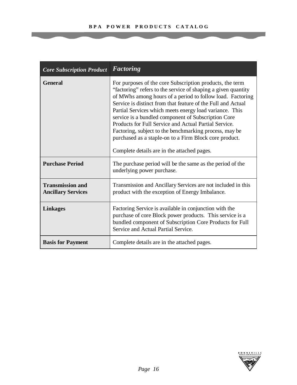| <b>Core Subscription Product</b>                     | <b>Factoring</b>                                                                                                                                                                                                                                                                                                                                                                                                                                                                                                                                                                                     |
|------------------------------------------------------|------------------------------------------------------------------------------------------------------------------------------------------------------------------------------------------------------------------------------------------------------------------------------------------------------------------------------------------------------------------------------------------------------------------------------------------------------------------------------------------------------------------------------------------------------------------------------------------------------|
| <b>General</b>                                       | For purposes of the core Subscription products, the term<br>"factoring" refers to the service of shaping a given quantity<br>of MWhs among hours of a period to follow load. Factoring<br>Service is distinct from that feature of the Full and Actual<br>Partial Services which meets energy load variance. This<br>service is a bundled component of Subscription Core<br>Products for Full Service and Actual Partial Service.<br>Factoring, subject to the benchmarking process, may be<br>purchased as a staple-on to a Firm Block core product.<br>Complete details are in the attached pages. |
| <b>Purchase Period</b>                               | The purchase period will be the same as the period of the<br>underlying power purchase.                                                                                                                                                                                                                                                                                                                                                                                                                                                                                                              |
| <b>Transmission and</b><br><b>Ancillary Services</b> | Transmission and Ancillary Services are not included in this<br>product with the exception of Energy Imbalance.                                                                                                                                                                                                                                                                                                                                                                                                                                                                                      |
| <b>Linkages</b>                                      | Factoring Service is available in conjunction with the<br>purchase of core Block power products. This service is a<br>bundled component of Subscription Core Products for Full<br>Service and Actual Partial Service.                                                                                                                                                                                                                                                                                                                                                                                |
| <b>Basis for Payment</b>                             | Complete details are in the attached pages.                                                                                                                                                                                                                                                                                                                                                                                                                                                                                                                                                          |

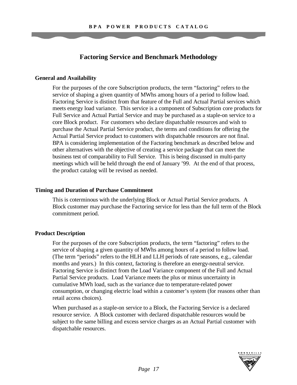# **Factoring Service and Benchmark Methodology**

# **General and Availability**

For the purposes of the core Subscription products, the term "factoring" refers to the service of shaping a given quantity of MWhs among hours of a period to follow load. Factoring Service is distinct from that feature of the Full and Actual Partial services which meets energy load variance. This service is a component of Subscription core products for Full Service and Actual Partial Service and may be purchased as a staple-on service to a core Block product. For customers who declare dispatchable resources and wish to purchase the Actual Partial Service product, the terms and conditions for offering the Actual Partial Service product to customers with dispatchable resources are not final. BPA is considering implementation of the Factoring benchmark as described below and other alternatives with the objective of creating a service package that can meet the business test of comparability to Full Service. This is being discussed in multi-party meetings which will be held through the end of January '99. At the end of that process, the product catalog will be revised as needed.

#### **Timing and Duration of Purchase Commitment**

This is coterminous with the underlying Block or Actual Partial Service products. A Block customer may purchase the Factoring service for less than the full term of the Block commitment period.

### **Product Description**

For the purposes of the core Subscription products, the term "factoring" refers to the service of shaping a given quantity of MWhs among hours of a period to follow load. (The term "periods" refers to the HLH and LLH periods of rate seasons, e.g., calendar months and years.) In this context, factoring is therefore an energy-neutral service. Factoring Service is distinct from the Load Variance component of the Full and Actual Partial Service products. Load Variance meets the plus or minus uncertainty in cumulative MWh load, such as the variance due to temperature-related power consumption, or changing electric load within a customer's system (for reasons other than retail access choices).

When purchased as a staple-on service to a Block, the Factoring Service is a declared resource service. A Block customer with declared dispatchable resources would be subject to the same billing and excess service charges as an Actual Partial customer with dispatchable resources.

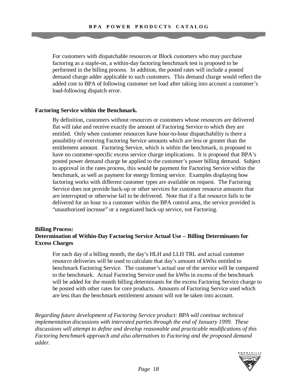For customers with dispatchable resources or Block customers who may purchase factoring as a staple-on, a within-day factoring benchmark test is proposed to be performed in the billing process. In addition, the posted rates will include a posted demand charge adder applicable to such customers. This demand charge would reflect the added cost to BPA of following customer net load after taking into account a customer's load-following dispatch error.

#### **Factoring Service within the Benchmark.**

By definition, customers without resources or customers whose resources are delivered flat will take and receive exactly the amount of Factoring Service to which they are entitled. Only when customer resources have hour-to-hour dispatchability is there a possibility of receiving Factoring Service amounts which are less or greater than the entitlement amount. Factoring Service, which is within the benchmark, is proposed to have no customer-specific excess service charge implications. It is proposed that BPA's posted power demand charge be applied to the customer's power billing demand. Subject to approval in the rates process, this would be payment for Factoring Service within the benchmark, as well as payment for energy firming service. Examples displaying how factoring works with different customer types are available on request. The Factoring Service does not provide back-up or other services for customer resource amounts that are interrupted or otherwise fail to be delivered. Note that if a flat resource fails to be delivered for an hour to a customer within the BPA control area, the service provided is "unauthorized increase" or a negotiated back-up service, not Factoring.

# **Billing Process: Determination of Within-Day Factoring Service Actual Use – Billing Determinants for Excess Charges**

For each day of a billing month, the day's HLH and LLH TRL and actual customer resource deliveries will be used to calculate that day's amount of kWhs entitled to benchmark Factoring Service. The customer's actual use of the service will be compared to the benchmark. Actual Factoring Service used for kWhs in excess of the benchmark will be added for the month billing determinants for the excess Factoring Service charge to be posted with other rates for core products. Amounts of Factoring Service used which are less than the benchmark entitlement amount will not be taken into account.

*Regarding future development of Factoring Service product: BPA will continue technical implementation discussions with interested parties through the end of January 1999. These discussions will attempt to define and develop reasonable and practicable modifications of this Factoring benchmark approach and also alternatives to Factoring and the proposed demand adder.*

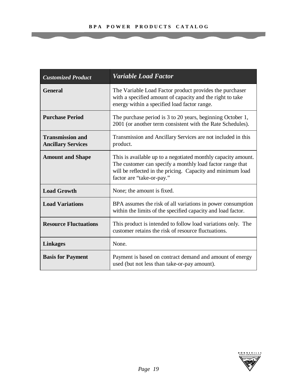| <b>Customized Product</b>                            | <b>Variable Load Factor</b>                                                                                                                                                                                            |
|------------------------------------------------------|------------------------------------------------------------------------------------------------------------------------------------------------------------------------------------------------------------------------|
| <b>General</b>                                       | The Variable Load Factor product provides the purchaser<br>with a specified amount of capacity and the right to take<br>energy within a specified load factor range.                                                   |
| <b>Purchase Period</b>                               | The purchase period is 3 to 20 years, beginning October 1,<br>2001 (or another term consistent with the Rate Schedules).                                                                                               |
| <b>Transmission and</b><br><b>Ancillary Services</b> | Transmission and Ancillary Services are not included in this<br>product.                                                                                                                                               |
| <b>Amount and Shape</b>                              | This is available up to a negotiated monthly capacity amount.<br>The customer can specify a monthly load factor range that<br>will be reflected in the pricing. Capacity and minimum load<br>factor are "take-or-pay." |
| <b>Load Growth</b>                                   | None; the amount is fixed.                                                                                                                                                                                             |
| <b>Load Variations</b>                               | BPA assumes the risk of all variations in power consumption<br>within the limits of the specified capacity and load factor.                                                                                            |
| <b>Resource Fluctuations</b>                         | This product is intended to follow load variations only. The<br>customer retains the risk of resource fluctuations.                                                                                                    |
| <b>Linkages</b>                                      | None.                                                                                                                                                                                                                  |
| <b>Basis for Payment</b>                             | Payment is based on contract demand and amount of energy<br>used (but not less than take-or-pay amount).                                                                                                               |

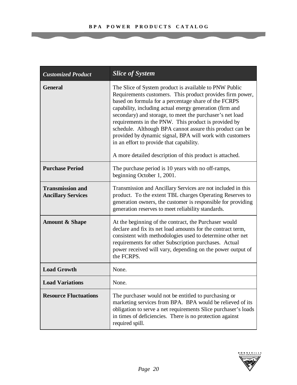| <b>Customized Product</b>                            | <b>Slice of System</b>                                                                                                                                                                                                                                                                                                                                                                                                                                                                                                                                                                      |
|------------------------------------------------------|---------------------------------------------------------------------------------------------------------------------------------------------------------------------------------------------------------------------------------------------------------------------------------------------------------------------------------------------------------------------------------------------------------------------------------------------------------------------------------------------------------------------------------------------------------------------------------------------|
| <b>General</b>                                       | The Slice of System product is available to PNW Public<br>Requirements customers. This product provides firm power,<br>based on formula for a percentage share of the FCRPS<br>capability, including actual energy generation (firm and<br>secondary) and storage, to meet the purchaser's net load<br>requirements in the PNW. This product is provided by<br>schedule. Although BPA cannot assure this product can be<br>provided by dynamic signal, BPA will work with customers<br>in an effort to provide that capability.<br>A more detailed description of this product is attached. |
| <b>Purchase Period</b>                               | The purchase period is 10 years with no off-ramps,<br>beginning October 1, 2001.                                                                                                                                                                                                                                                                                                                                                                                                                                                                                                            |
| <b>Transmission and</b><br><b>Ancillary Services</b> | Transmission and Ancillary Services are not included in this<br>product. To the extent TBL charges Operating Reserves to<br>generation owners, the customer is responsible for providing<br>generation reserves to meet reliability standards.                                                                                                                                                                                                                                                                                                                                              |
| <b>Amount &amp; Shape</b>                            | At the beginning of the contract, the Purchaser would<br>declare and fix its net load amounts for the contract term,<br>consistent with methodologies used to determine other net<br>requirements for other Subscription purchases. Actual<br>power received will vary, depending on the power output of<br>the FCRPS.                                                                                                                                                                                                                                                                      |
| <b>Load Growth</b>                                   | None.                                                                                                                                                                                                                                                                                                                                                                                                                                                                                                                                                                                       |
| <b>Load Variations</b>                               | None.                                                                                                                                                                                                                                                                                                                                                                                                                                                                                                                                                                                       |
| <b>Resource Fluctuations</b>                         | The purchaser would not be entitled to purchasing or<br>marketing services from BPA. BPA would be relieved of its<br>obligation to serve a net requirements Slice purchaser's loads<br>in times of deficiencies. There is no protection against<br>required spill.                                                                                                                                                                                                                                                                                                                          |

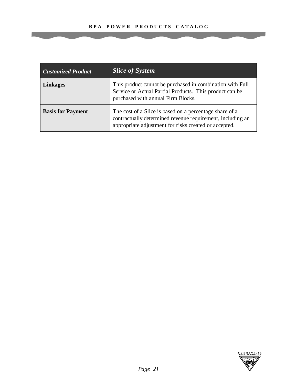| <b>Customized Product</b> | <b>Slice of System</b>                                                                                                                                                         |
|---------------------------|--------------------------------------------------------------------------------------------------------------------------------------------------------------------------------|
| <b>Linkages</b>           | This product cannot be purchased in combination with Full<br>Service or Actual Partial Products. This product can be<br>purchased with annual Firm Blocks.                     |
| <b>Basis for Payment</b>  | The cost of a Slice is based on a percentage share of a<br>contractually determined revenue requirement, including an<br>appropriate adjustment for risks created or accepted. |

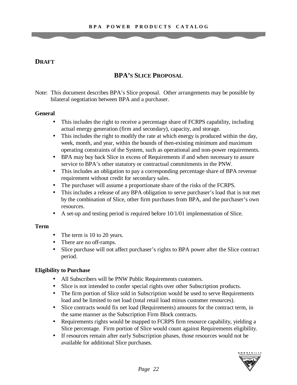# **DRAFT**

# **BPA'S SLICE PROPOSAL**

Note: This document describes BPA's Slice proposal. Other arrangements may be possible by bilateral negotiation between BPA and a purchaser.

### **General**

- This includes the right to receive a percentage share of FCRPS capability, including actual energy generation (firm and secondary), capacity, and storage.
- This includes the right to modify the rate at which energy is produced within the day, week, month, and year, within the bounds of then-existing minimum and maximum operating constraints of the System, such as operational and non-power requirements.
- BPA may buy back Slice in excess of Requirements if and when necessary to assure service to BPA's other statutory or contractual commitments in the PNW.
- This includes an obligation to pay a corresponding percentage share of BPA revenue requirement without credit for secondary sales.
- The purchaser will assume a proportionate share of the risks of the FCRPS.
- This includes a release of any BPA obligation to serve purchaser's load that is not met by the combination of Slice, other firm purchases from BPA, and the purchaser's own resources.
- A set-up and testing period is required before 10/1/01 implementation of Slice.

# **Term**

- The term is 10 to 20 years.
- There are no off-ramps.
- Slice purchase will not affect purchaser's rights to BPA power after the Slice contract period.

# **Eligibility to Purchase**

- All Subscribers will be PNW Public Requirements customers.
- Slice is not intended to confer special rights over other Subscription products.
- The firm portion of Slice sold in Subscription would be used to serve Requirements load and be limited to net load (total retail load minus customer resources).
- Slice contracts would fix net load (Requirements) amounts for the contract term, in the same manner as the Subscription Firm Block contracts.
- Requirements rights would be mapped to FCRPS firm resource capability, yielding a Slice percentage. Firm portion of Slice would count against Requirements eligibility.
- If resources remain after early Subscription phases, those resources would not be available for additional Slice purchases.

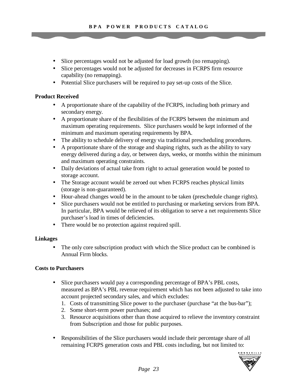- Slice percentages would not be adjusted for load growth (no remapping).
- Slice percentages would not be adjusted for decreases in FCRPS firm resource capability (no remapping).
- Potential Slice purchasers will be required to pay set-up costs of the Slice.

# **Product Received**

- A proportionate share of the capability of the FCRPS, including both primary and secondary energy.
- A proportionate share of the flexibilities of the FCRPS between the minimum and maximum operating requirements. Slice purchasers would be kept informed of the minimum and maximum operating requirements by BPA.
- The ability to schedule delivery of energy via traditional prescheduling procedures.
- A proportionate share of the storage and shaping rights, such as the ability to vary energy delivered during a day, or between days, weeks, or months within the minimum and maximum operating constraints.
- Daily deviations of actual take from right to actual generation would be posted to storage account.
- The Storage account would be zeroed out when FCRPS reaches physical limits (storage is non-guaranteed).
- Hour-ahead changes would be in the amount to be taken (preschedule change rights).
- Slice purchasers would not be entitled to purchasing or marketing services from BPA. In particular, BPA would be relieved of its obligation to serve a net requirements Slice purchaser's load in times of deficiencies.
- There would be no protection against required spill.

### **Linkages**

• The only core subscription product with which the Slice product can be combined is Annual Firm blocks.

### **Costs to Purchasers**

- Slice purchasers would pay a corresponding percentage of BPA's PBL costs, measured as BPA's PBL revenue requirement which has not been adjusted to take into account projected secondary sales, and which excludes:
	- 1. Costs of transmitting Slice power to the purchaser (purchase "at the bus-bar");
	- 2. Some short-term power purchases; and
	- 3. Resource acquisitions other than those acquired to relieve the inventory constraint from Subscription and those for public purposes.
- Responsibilities of the Slice purchasers would include their percentage share of all remaining FCRPS generation costs and PBL costs including, but not limited to:

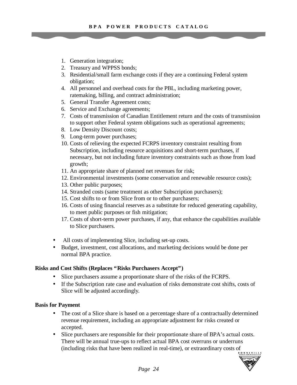- 1. Generation integration;
- 2. Treasury and WPPSS bonds;
- 3. Residential/small farm exchange costs if they are a continuing Federal system obligation;
- 4. All personnel and overhead costs for the PBL, including marketing power, ratemaking, billing, and contract administration;
- 5. General Transfer Agreement costs;
- 6. Service and Exchange agreements;
- 7. Costs of transmission of Canadian Entitlement return and the costs of transmission to support other Federal system obligations such as operational agreements;
- 8. Low Density Discount costs;
- 9. Long-term power purchases;
- 10. Costs of relieving the expected FCRPS inventory constraint resulting from Subscription, including resource acquisitions and short-term purchases, if necessary, but not including future inventory constraints such as those from load growth;
- 11. An appropriate share of planned net revenues for risk;
- 12. Environmental investments (some conservation and renewable resource costs);
- 13. Other public purposes;
- 14. Stranded costs (same treatment as other Subscription purchasers);
- 15. Cost shifts to or from Slice from or to other purchasers;
- 16. Costs of using financial reserves as a substitute for reduced generating capability, to meet public purposes or fish mitigation;
- 17. Costs of short-term power purchases, if any, that enhance the capabilities available to Slice purchasers.
- All costs of implementing Slice, including set-up costs.
- Budget, investment, cost allocations, and marketing decisions would be done per normal BPA practice.

#### **Risks and Cost Shifts (Replaces "Risks Purchasers Accept")**

- Slice purchasers assume a proportionate share of the risks of the FCRPS.
- If the Subscription rate case and evaluation of risks demonstrate cost shifts, costs of Slice will be adjusted accordingly.

#### **Basis for Payment**

- The cost of a Slice share is based on a percentage share of a contractually determined revenue requirement, including an appropriate adjustment for risks created or accepted.
- Slice purchasers are responsible for their proportionate share of BPA's actual costs. There will be annual true-ups to reflect actual BPA cost overruns or underruns (including risks that have been realized in real-time), or extraordinary costs of

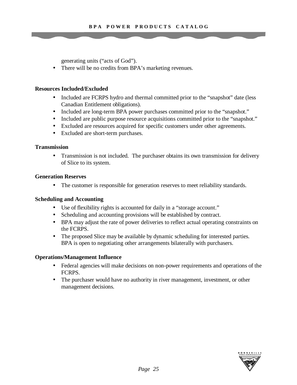generating units ("acts of God").

• There will be no credits from BPA's marketing revenues.

#### **Resources Included/Excluded**

- Included are FCRPS hydro and thermal committed prior to the "snapshot" date (less Canadian Entitlement obligations).
- Included are long-term BPA power purchases committed prior to the "snapshot."
- Included are public purpose resource acquisitions committed prior to the "snapshot."
- Excluded are resources acquired for specific customers under other agreements.
- Excluded are short-term purchases.

#### **Transmission**

• Transmission is not included. The purchaser obtains its own transmission for delivery of Slice to its system.

#### **Generation Reserves**

• The customer is responsible for generation reserves to meet reliability standards.

### **Scheduling and Accounting**

- Use of flexibility rights is accounted for daily in a "storage account."
- Scheduling and accounting provisions will be established by contract.
- BPA may adjust the rate of power deliveries to reflect actual operating constraints on the FCRPS.
- The proposed Slice may be available by dynamic scheduling for interested parties. BPA is open to negotiating other arrangements bilaterally with purchasers.

### **Operations/Management Influence**

- Federal agencies will make decisions on non-power requirements and operations of the FCRPS.
- The purchaser would have no authority in river management, investment, or other management decisions.

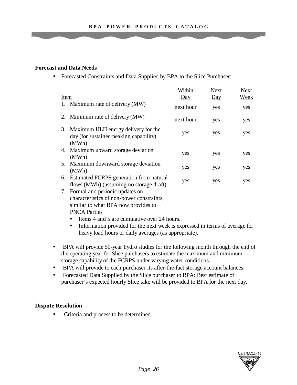#### **Forecast and Data Needs**

• Forecasted Constraints and Data Supplied by BPA to the Slice Purchaser:

|      |                                                                                           | Within           | <b>Next</b>      | <b>Next</b> |
|------|-------------------------------------------------------------------------------------------|------------------|------------------|-------------|
| Item |                                                                                           | $\overline{Day}$ | $\overline{Day}$ | Week        |
|      | 1. Maximum rate of delivery (MW)                                                          | next hour        | yes              | yes         |
|      | 2. Minimum rate of delivery (MW)                                                          | next hour        | yes              | yes         |
|      | 3. Maximum HLH energy delivery for the<br>day (for sustained peaking capability)<br>(MWh) | yes              | yes              | yes         |
|      | 4. Maximum upward storage deviation<br>(MWh)                                              | yes              | yes              | yes         |
|      | 5. Maximum downward storage deviation<br>(MWh)                                            | yes              | yes              | yes         |
| 6.   | Estimated FCRPS generation from natural<br>flows (MWh) (assuming no storage draft)        | yes              | yes              | yes         |
|      |                                                                                           |                  |                  |             |

- 7. Formal and periodic updates on characteristics of non-power constraints, similar to what BPA now provides to PNCA Parties
	- **EXECUTE:** Items 4 and 5 are cumulative over 24 hours.
	- **Information provided for the next week is expressed in terms of average for** heavy load hours or daily averages (as appropriate).
- BPA will provide 50-year hydro studies for the following month through the end of the operating year for Slice purchasers to estimate the maximum and minimum storage capability of the FCRPS under varying water conditions.
- BPA will provide to each purchaser its after-the-fact storage account balances.
- Forecasted Data Supplied by the Slice purchaser to BPA: Best estimate of purchaser's expected hourly Slice take will be provided to BPA for the next day.

### **Dispute Resolution**

• Criteria and process to be determined.

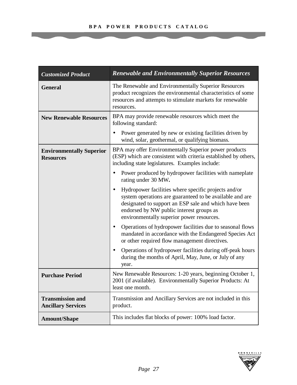| <b>Customized Product</b>                            | <b>Renewable and Environmentally Superior Resources</b>                                                                                                                                                                                                                         |  |
|------------------------------------------------------|---------------------------------------------------------------------------------------------------------------------------------------------------------------------------------------------------------------------------------------------------------------------------------|--|
| <b>General</b>                                       | The Renewable and Environmentally Superior Resources<br>product recognizes the environmental characteristics of some<br>resources and attempts to stimulate markets for renewable<br>resources.                                                                                 |  |
| <b>New Renewable Resources</b>                       | BPA may provide renewable resources which meet the<br>following standard:                                                                                                                                                                                                       |  |
|                                                      | Power generated by new or existing facilities driven by<br>wind, solar, geothermal, or qualifying biomass.                                                                                                                                                                      |  |
| <b>Environmentally Superior</b><br><b>Resources</b>  | BPA may offer Environmentally Superior power products<br>(ESP) which are consistent with criteria established by others,<br>including state legislatures. Examples include:                                                                                                     |  |
|                                                      | Power produced by hydropower facilities with nameplate<br>rating under 30 MW.                                                                                                                                                                                                   |  |
|                                                      | Hydropower facilities where specific projects and/or<br>$\bullet$<br>system operations are guaranteed to be available and are<br>designated to support an ESP sale and which have been<br>endorsed by NW public interest groups as<br>environmentally superior power resources. |  |
|                                                      | Operations of hydropower facilities due to seasonal flows<br>mandated in accordance with the Endangered Species Act<br>or other required flow management directives.                                                                                                            |  |
|                                                      | Operations of hydropower facilities during off-peak hours<br>during the months of April, May, June, or July of any<br>year.                                                                                                                                                     |  |
| <b>Purchase Period</b>                               | New Renewable Resources: 1-20 years, beginning October 1,<br>2001 (if available). Environmentally Superior Products: At<br>least one month.                                                                                                                                     |  |
| <b>Transmission and</b><br><b>Ancillary Services</b> | Transmission and Ancillary Services are not included in this<br>product.                                                                                                                                                                                                        |  |
| <b>Amount/Shape</b>                                  | This includes flat blocks of power: 100% load factor.                                                                                                                                                                                                                           |  |

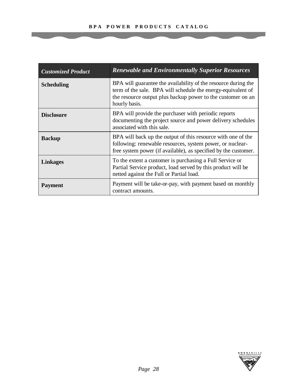| <b>Customized Product</b> | <b>Renewable and Environmentally Superior Resources</b>                                                                                                                                                        |
|---------------------------|----------------------------------------------------------------------------------------------------------------------------------------------------------------------------------------------------------------|
| <b>Scheduling</b>         | BPA will guarantee the availability of the resource during the<br>term of the sale. BPA will schedule the energy-equivalent of<br>the resource output plus backup power to the customer on an<br>hourly basis. |
| <b>Disclosure</b>         | BPA will provide the purchaser with periodic reports<br>documenting the project source and power delivery schedules<br>associated with this sale.                                                              |
| <b>Backup</b>             | BPA will back up the output of this resource with one of the<br>following: renewable resources, system power, or nuclear-<br>free system power (if available), as specified by the customer.                   |
| <b>Linkages</b>           | To the extent a customer is purchasing a Full Service or<br>Partial Service product, load served by this product will be<br>netted against the Full or Partial load.                                           |
| <b>Payment</b>            | Payment will be take-or-pay, with payment based on monthly<br>contract amounts.                                                                                                                                |

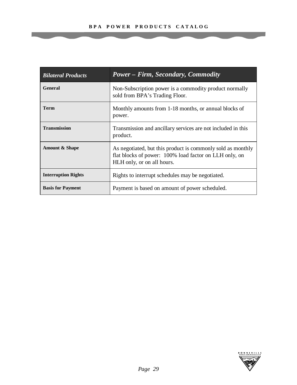| <b>Bilateral Products</b>  | <b>Power – Firm, Secondary, Commodity</b>                                                                                                           |
|----------------------------|-----------------------------------------------------------------------------------------------------------------------------------------------------|
| <b>General</b>             | Non-Subscription power is a commodity product normally<br>sold from BPA's Trading Floor.                                                            |
| <b>Term</b>                | Monthly amounts from 1-18 months, or annual blocks of<br>power.                                                                                     |
| <b>Transmission</b>        | Transmission and ancillary services are not included in this<br>product.                                                                            |
| <b>Amount &amp; Shape</b>  | As negotiated, but this product is commonly sold as monthly<br>flat blocks of power: 100% load factor on LLH only, on<br>HLH only, or on all hours. |
| <b>Interruption Rights</b> | Rights to interrupt schedules may be negotiated.                                                                                                    |
| <b>Basis for Payment</b>   | Payment is based on amount of power scheduled.                                                                                                      |

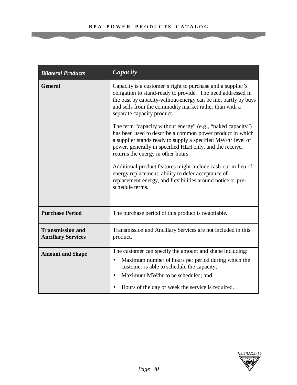| <b>Bilateral Products</b>                            | Capacity                                                                                                                                                                                                                                                                                   |
|------------------------------------------------------|--------------------------------------------------------------------------------------------------------------------------------------------------------------------------------------------------------------------------------------------------------------------------------------------|
| <b>General</b>                                       | Capacity is a customer's right to purchase and a supplier's<br>obligation to stand-ready to provide. The need addressed in<br>the past by capacity-without-energy can be met partly by buys<br>and sells from the commodity market rather than with a<br>separate capacity product.        |
|                                                      | The term "capacity without energy" (e.g., "naked capacity")<br>has been used to describe a common power product in which<br>a supplier stands ready to supply a specified MW/hr level of<br>power, generally in specified HLH only, and the receiver<br>returns the energy in other hours. |
|                                                      | Additional product features might include cash-out in lieu of<br>energy replacement, ability to defer acceptance of<br>replacement energy, and flexibilities around notice or pre-<br>schedule terms.                                                                                      |
| <b>Purchase Period</b>                               | The purchase period of this product is negotiable.                                                                                                                                                                                                                                         |
| <b>Transmission and</b><br><b>Ancillary Services</b> | Transmission and Ancillary Services are not included in this<br>product.                                                                                                                                                                                                                   |
| <b>Amount and Shape</b>                              | The customer can specify the amount and shape including:<br>Maximum number of hours per period during which the<br>$\bullet$<br>customer is able to schedule the capacity;<br>Maximum MW/hr to be scheduled; and<br>Hours of the day or week the service is required.                      |

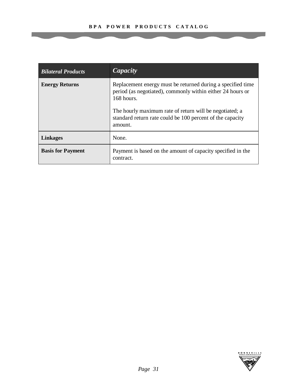| <b>Bilateral Products</b> | Capacity                                                                                                                                                                                                                                                                   |
|---------------------------|----------------------------------------------------------------------------------------------------------------------------------------------------------------------------------------------------------------------------------------------------------------------------|
| <b>Energy Returns</b>     | Replacement energy must be returned during a specified time<br>period (as negotiated), commonly within either 24 hours or<br>168 hours.<br>The hourly maximum rate of return will be negotiated; a<br>standard return rate could be 100 percent of the capacity<br>amount. |
| <b>Linkages</b>           | None.                                                                                                                                                                                                                                                                      |
| <b>Basis for Payment</b>  | Payment is based on the amount of capacity specified in the<br>contract.                                                                                                                                                                                                   |

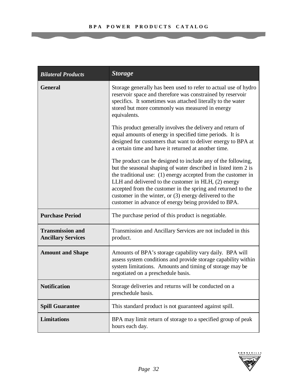| <b>Bilateral Products</b>                            | <b>Storage</b>                                                                                                                                                                                                                                                                                                                                                                                                                             |
|------------------------------------------------------|--------------------------------------------------------------------------------------------------------------------------------------------------------------------------------------------------------------------------------------------------------------------------------------------------------------------------------------------------------------------------------------------------------------------------------------------|
| <b>General</b>                                       | Storage generally has been used to refer to actual use of hydro<br>reservoir space and therefore was constrained by reservoir<br>specifics. It sometimes was attached literally to the water<br>stored but more commonly was measured in energy<br>equivalents.                                                                                                                                                                            |
|                                                      | This product generally involves the delivery and return of<br>equal amounts of energy in specified time periods. It is<br>designed for customers that want to deliver energy to BPA at<br>a certain time and have it returned at another time.                                                                                                                                                                                             |
|                                                      | The product can be designed to include any of the following,<br>but the seasonal shaping of water described in listed item 2 is<br>the traditional use: (1) energy accepted from the customer in<br>LLH and delivered to the customer in HLH, (2) energy<br>accepted from the customer in the spring and returned to the<br>customer in the winter, or (3) energy delivered to the<br>customer in advance of energy being provided to BPA. |
| <b>Purchase Period</b>                               | The purchase period of this product is negotiable.                                                                                                                                                                                                                                                                                                                                                                                         |
| <b>Transmission and</b><br><b>Ancillary Services</b> | Transmission and Ancillary Services are not included in this<br>product.                                                                                                                                                                                                                                                                                                                                                                   |
| <b>Amount and Shape</b>                              | Amounts of BPA's storage capability vary daily. BPA will<br>assess system conditions and provide storage capability within<br>system limitations. Amounts and timing of storage may be<br>negotiated on a preschedule basis.                                                                                                                                                                                                               |
| <b>Notification</b>                                  | Storage deliveries and returns will be conducted on a<br>preschedule basis.                                                                                                                                                                                                                                                                                                                                                                |
| <b>Spill Guarantee</b>                               | This standard product is not guaranteed against spill.                                                                                                                                                                                                                                                                                                                                                                                     |
| <b>Limitations</b>                                   | BPA may limit return of storage to a specified group of peak<br>hours each day.                                                                                                                                                                                                                                                                                                                                                            |

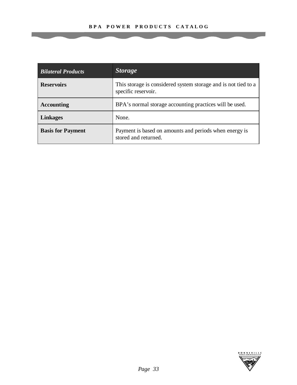| <b>Bilateral Products</b> | <b>Storage</b>                                                                        |
|---------------------------|---------------------------------------------------------------------------------------|
| <b>Reservoirs</b>         | This storage is considered system storage and is not tied to a<br>specific reservoir. |
| <b>Accounting</b>         | BPA's normal storage accounting practices will be used.                               |
| <b>Linkages</b>           | None.                                                                                 |
| <b>Basis for Payment</b>  | Payment is based on amounts and periods when energy is<br>stored and returned.        |

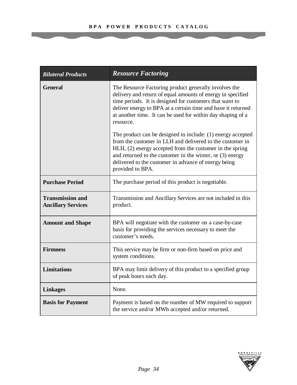| <b>Bilateral Products</b>                            | <b>Resource Factoring</b>                                                                                                                                                                                                                                                                                                       |
|------------------------------------------------------|---------------------------------------------------------------------------------------------------------------------------------------------------------------------------------------------------------------------------------------------------------------------------------------------------------------------------------|
| <b>General</b>                                       | The Resource Factoring product generally involves the<br>delivery and return of equal amounts of energy in specified<br>time periods. It is designed for customers that want to<br>deliver energy to BPA at a certain time and have it returned<br>at another time. It can be used for within day shaping of a<br>resource.     |
|                                                      | The product can be designed to include: (1) energy accepted<br>from the customer in LLH and delivered to the customer in<br>HLH, (2) energy accepted from the customer in the spring<br>and returned to the customer in the winter, or $(3)$ energy<br>delivered to the customer in advance of energy being<br>provided to BPA. |
| <b>Purchase Period</b>                               | The purchase period of this product is negotiable.                                                                                                                                                                                                                                                                              |
| <b>Transmission and</b><br><b>Ancillary Services</b> | Transmission and Ancillary Services are not included in this<br>product.                                                                                                                                                                                                                                                        |
| <b>Amount and Shape</b>                              | BPA will negotiate with the customer on a case-by-case<br>basis for providing the services necessary to meet the<br>customer's needs.                                                                                                                                                                                           |
| <b>Firmness</b>                                      | This service may be firm or non-firm based on price and<br>system conditions.                                                                                                                                                                                                                                                   |
| <b>Limitations</b>                                   | BPA may limit delivery of this product to a specified group<br>of peak hours each day.                                                                                                                                                                                                                                          |
| <b>Linkages</b>                                      | None.                                                                                                                                                                                                                                                                                                                           |
| <b>Basis for Payment</b>                             | Payment is based on the number of MW required to support<br>the service and/or MWh accepted and/or returned.                                                                                                                                                                                                                    |

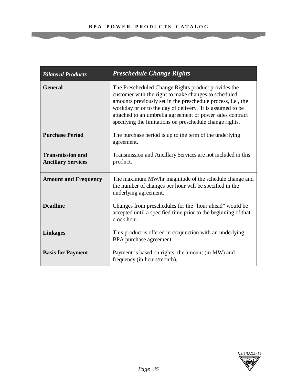| <b>Bilateral Products</b>                            | <b>Preschedule Change Rights</b>                                                                                                                                                                                                                                                                                                                                          |
|------------------------------------------------------|---------------------------------------------------------------------------------------------------------------------------------------------------------------------------------------------------------------------------------------------------------------------------------------------------------------------------------------------------------------------------|
| <b>General</b>                                       | The Prescheduled Change Rights product provides the<br>customer with the right to make changes to scheduled<br>amounts previously set in the preschedule process, <i>i.e.</i> , the<br>workday prior to the day of delivery. It is assumed to be<br>attached to an umbrella agreement or power sales contract<br>specifying the limitations on preschedule change rights. |
| <b>Purchase Period</b>                               | The purchase period is up to the term of the underlying<br>agreement.                                                                                                                                                                                                                                                                                                     |
| <b>Transmission and</b><br><b>Ancillary Services</b> | Transmission and Ancillary Services are not included in this<br>product.                                                                                                                                                                                                                                                                                                  |
| <b>Amount and Frequency</b>                          | The maximum MW/hr magnitude of the schedule change and<br>the number of changes per hour will be specified in the<br>underlying agreement.                                                                                                                                                                                                                                |
| <b>Deadline</b>                                      | Changes from preschedules for the "hour ahead" would be<br>accepted until a specified time prior to the beginning of that<br>clock hour.                                                                                                                                                                                                                                  |
| <b>Linkages</b>                                      | This product is offered in conjunction with an underlying<br>BPA purchase agreement.                                                                                                                                                                                                                                                                                      |
| <b>Basis for Payment</b>                             | Payment is based on rights: the amount (in MW) and<br>frequency (in hours/month).                                                                                                                                                                                                                                                                                         |

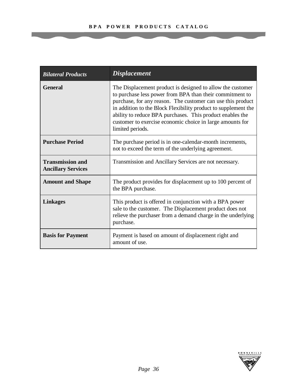| <b>Bilateral Products</b>                            | <b>Displacement</b>                                                                                                                                                                                                                                                                                                                                                                                   |
|------------------------------------------------------|-------------------------------------------------------------------------------------------------------------------------------------------------------------------------------------------------------------------------------------------------------------------------------------------------------------------------------------------------------------------------------------------------------|
| <b>General</b>                                       | The Displacement product is designed to allow the customer<br>to purchase less power from BPA than their commitment to<br>purchase, for any reason. The customer can use this product<br>in addition to the Block Flexibility product to supplement the<br>ability to reduce BPA purchases. This product enables the<br>customer to exercise economic choice in large amounts for<br>limited periods. |
| <b>Purchase Period</b>                               | The purchase period is in one-calendar-month increments,<br>not to exceed the term of the underlying agreement.                                                                                                                                                                                                                                                                                       |
| <b>Transmission and</b><br><b>Ancillary Services</b> | Transmission and Ancillary Services are not necessary.                                                                                                                                                                                                                                                                                                                                                |
| <b>Amount and Shape</b>                              | The product provides for displacement up to 100 percent of<br>the BPA purchase.                                                                                                                                                                                                                                                                                                                       |
| <b>Linkages</b>                                      | This product is offered in conjunction with a BPA power<br>sale to the customer. The Displacement product does not<br>relieve the purchaser from a demand charge in the underlying<br>purchase.                                                                                                                                                                                                       |
| <b>Basis for Payment</b>                             | Payment is based on amount of displacement right and<br>amount of use.                                                                                                                                                                                                                                                                                                                                |

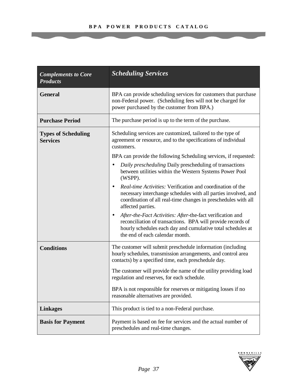| <b>Complements to Core</b><br><b>Products</b> | <b>Scheduling Services</b>                                                                                                                                                                                                              |
|-----------------------------------------------|-----------------------------------------------------------------------------------------------------------------------------------------------------------------------------------------------------------------------------------------|
| <b>General</b>                                | BPA can provide scheduling services for customers that purchase<br>non-Federal power. (Scheduling fees will not be charged for<br>power purchased by the customer from BPA.)                                                            |
| <b>Purchase Period</b>                        | The purchase period is up to the term of the purchase.                                                                                                                                                                                  |
| <b>Types of Scheduling</b><br><b>Services</b> | Scheduling services are customized, tailored to the type of<br>agreement or resource, and to the specifications of individual<br>customers.                                                                                             |
|                                               | BPA can provide the following Scheduling services, if requested:                                                                                                                                                                        |
|                                               | Daily prescheduling Daily prescheduling of transactions<br>between utilities within the Western Systems Power Pool<br>(WSPP).                                                                                                           |
|                                               | <i>Real-time Activities:</i> Verification and coordination of the<br>$\bullet$<br>necessary interchange schedules with all parties involved, and<br>coordination of all real-time changes in preschedules with all<br>affected parties. |
|                                               | After-the-Fact Activities: After-the-fact verification and<br>reconciliation of transactions. BPA will provide records of<br>hourly schedules each day and cumulative total schedules at<br>the end of each calendar month.             |
| <b>Conditions</b>                             | The customer will submit preschedule information (including<br>hourly schedules, transmission arrangements, and control area<br>contacts) by a specified time, each preschedule day.                                                    |
|                                               | The customer will provide the name of the utility providing load<br>regulation and reserves, for each schedule.                                                                                                                         |
|                                               | BPA is not responsible for reserves or mitigating losses if no<br>reasonable alternatives are provided.                                                                                                                                 |
| <b>Linkages</b>                               | This product is tied to a non-Federal purchase.                                                                                                                                                                                         |
| <b>Basis for Payment</b>                      | Payment is based on fee for services and the actual number of<br>preschedules and real-time changes.                                                                                                                                    |

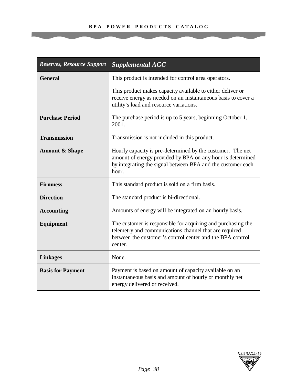| <b>Reserves, Resource Support</b> | <b>Supplemental AGC</b>                                                                                                                                                                          |
|-----------------------------------|--------------------------------------------------------------------------------------------------------------------------------------------------------------------------------------------------|
| <b>General</b>                    | This product is intended for control area operators.                                                                                                                                             |
|                                   | This product makes capacity available to either deliver or<br>receive energy as needed on an instantaneous basis to cover a<br>utility's load and resource variations.                           |
| <b>Purchase Period</b>            | The purchase period is up to 5 years, beginning October 1,<br>2001.                                                                                                                              |
| <b>Transmission</b>               | Transmission is not included in this product.                                                                                                                                                    |
| <b>Amount &amp; Shape</b>         | Hourly capacity is pre-determined by the customer. The net<br>amount of energy provided by BPA on any hour is determined<br>by integrating the signal between BPA and the customer each<br>hour. |
| <b>Firmness</b>                   | This standard product is sold on a firm basis.                                                                                                                                                   |
| <b>Direction</b>                  | The standard product is bi-directional.                                                                                                                                                          |
| <b>Accounting</b>                 | Amounts of energy will be integrated on an hourly basis.                                                                                                                                         |
| <b>Equipment</b>                  | The customer is responsible for acquiring and purchasing the<br>telemetry and communications channel that are required<br>between the customer's control center and the BPA control<br>center.   |
| <b>Linkages</b>                   | None.                                                                                                                                                                                            |
| <b>Basis for Payment</b>          | Payment is based on amount of capacity available on an<br>instantaneous basis and amount of hourly or monthly net<br>energy delivered or received.                                               |

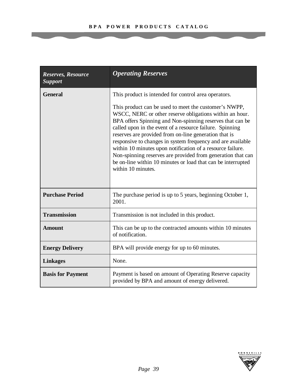| Reserves, Resource<br><b>Support</b> | <b>Operating Reserves</b>                                                                                                                                                                                                                                                                                                                                                                                                                                                                                                                                                            |
|--------------------------------------|--------------------------------------------------------------------------------------------------------------------------------------------------------------------------------------------------------------------------------------------------------------------------------------------------------------------------------------------------------------------------------------------------------------------------------------------------------------------------------------------------------------------------------------------------------------------------------------|
| <b>General</b>                       | This product is intended for control area operators.                                                                                                                                                                                                                                                                                                                                                                                                                                                                                                                                 |
|                                      | This product can be used to meet the customer's NWPP,<br>WSCC, NERC or other reserve obligations within an hour.<br>BPA offers Spinning and Non-spinning reserves that can be<br>called upon in the event of a resource failure. Spinning<br>reserves are provided from on-line generation that is<br>responsive to changes in system frequency and are available<br>within 10 minutes upon notification of a resource failure.<br>Non-spinning reserves are provided from generation that can<br>be on-line within 10 minutes or load that can be interrupted<br>within 10 minutes. |
| <b>Purchase Period</b>               | The purchase period is up to 5 years, beginning October 1,<br>2001.                                                                                                                                                                                                                                                                                                                                                                                                                                                                                                                  |
| <b>Transmission</b>                  | Transmission is not included in this product.                                                                                                                                                                                                                                                                                                                                                                                                                                                                                                                                        |
| <b>Amount</b>                        | This can be up to the contracted amounts within 10 minutes<br>of notification.                                                                                                                                                                                                                                                                                                                                                                                                                                                                                                       |
| <b>Energy Delivery</b>               | BPA will provide energy for up to 60 minutes.                                                                                                                                                                                                                                                                                                                                                                                                                                                                                                                                        |
| <b>Linkages</b>                      | None.                                                                                                                                                                                                                                                                                                                                                                                                                                                                                                                                                                                |
| <b>Basis for Payment</b>             | Payment is based on amount of Operating Reserve capacity<br>provided by BPA and amount of energy delivered.                                                                                                                                                                                                                                                                                                                                                                                                                                                                          |

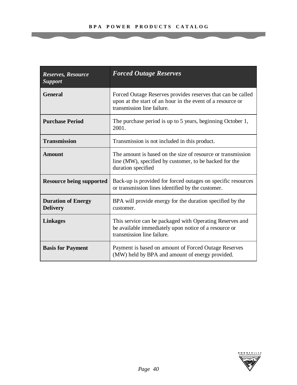| Reserves, Resource<br><b>Support</b>         | <b>Forced Outage Reserves</b>                                                                                                                           |
|----------------------------------------------|---------------------------------------------------------------------------------------------------------------------------------------------------------|
| <b>General</b>                               | Forced Outage Reserves provides reserves that can be called<br>upon at the start of an hour in the event of a resource or<br>transmission line failure. |
| <b>Purchase Period</b>                       | The purchase period is up to 5 years, beginning October 1,<br>2001.                                                                                     |
| <b>Transmission</b>                          | Transmission is not included in this product.                                                                                                           |
| <b>Amount</b>                                | The amount is based on the size of resource or transmission<br>line (MW), specified by customer, to be backed for the<br>duration specified             |
| <b>Resource being supported</b>              | Back-up is provided for forced outages on specific resources<br>or transmission lines identified by the customer.                                       |
| <b>Duration of Energy</b><br><b>Delivery</b> | BPA will provide energy for the duration specified by the<br>customer.                                                                                  |
| <b>Linkages</b>                              | This service can be packaged with Operating Reserves and<br>be available immediately upon notice of a resource or<br>transmission line failure.         |
| <b>Basis for Payment</b>                     | Payment is based on amount of Forced Outage Reserves<br>(MW) held by BPA and amount of energy provided.                                                 |

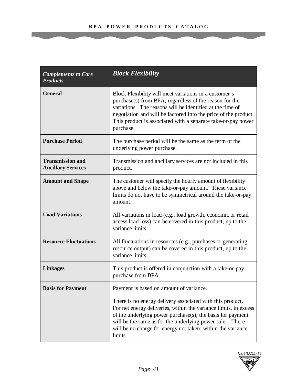| <b>Complements to Core</b><br><b>Products</b>        | <b>Block Flexibility</b>                                                                                                                                                                                                                                                                                                          |
|------------------------------------------------------|-----------------------------------------------------------------------------------------------------------------------------------------------------------------------------------------------------------------------------------------------------------------------------------------------------------------------------------|
| <b>General</b>                                       | Block Flexibility will meet variations in a customer's<br>purchase(s) from BPA, regardless of the reason for the<br>variations. The reasons will be identified at the time of<br>negotiation and will be factored into the price of the product.<br>This product is associated with a separate take-or-pay power<br>purchase.     |
| <b>Purchase Period</b>                               | The purchase period will be the same as the term of the<br>underlying power purchase.                                                                                                                                                                                                                                             |
| <b>Transmission and</b><br><b>Ancillary Services</b> | Transmission and ancillary services are not included in this<br>product.                                                                                                                                                                                                                                                          |
| <b>Amount and Shape</b>                              | The customer will specify the hourly amount of flexibility<br>above and below the take-or-pay amount. These variance<br>limits do not have to be symmetrical around the take-or-pay<br>amount.                                                                                                                                    |
| <b>Load Variations</b>                               | All variations in load (e.g., load growth, economic or retail<br>access load loss) can be covered in this product, up to the<br>variance limits.                                                                                                                                                                                  |
| <b>Resource Fluctuations</b>                         | All fluctuations in resources (e.g., purchases or generating<br>resource output) can be covered in this product, up to the<br>variance limits.                                                                                                                                                                                    |
| <b>Linkages</b>                                      | This product is offered in conjunction with a take-or-pay<br>purchase from BPA.                                                                                                                                                                                                                                                   |
| <b>Basis for Payment</b>                             | Payment is based on amount of variance.                                                                                                                                                                                                                                                                                           |
|                                                      | There is no energy delivery associated with this product.<br>For net energy deliveries, within the variance limits, in excess<br>of the underlying power purchase(s), the basis for payment<br>will be the same as for the underlying power sale. There<br>will be no charge for energy not taken, within the variance<br>limits. |

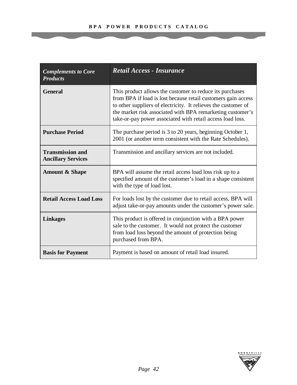| <b>Complements to Core</b><br><b>Products</b>        | <b>Retail Access - Insurance</b>                                                                                                                                                                                                                                                                                        |
|------------------------------------------------------|-------------------------------------------------------------------------------------------------------------------------------------------------------------------------------------------------------------------------------------------------------------------------------------------------------------------------|
| <b>General</b>                                       | This product allows the customer to reduce its purchases<br>from BPA if load is lost because retail customers gain access<br>to other suppliers of electricity. It relieves the customer of<br>the market risk associated with BPA remarketing customer's<br>take-or-pay power associated with retail access load loss. |
| <b>Purchase Period</b>                               | The purchase period is 3 to 20 years, beginning October 1,<br>2001 (or another term consistent with the Rate Schedules).                                                                                                                                                                                                |
| <b>Transmission and</b><br><b>Ancillary Services</b> | Transmission and ancillary services are not included.                                                                                                                                                                                                                                                                   |
| <b>Amount &amp; Shape</b>                            | BPA will assume the retail access load loss risk up to a<br>specified amount of the customer's load in a shape consistent<br>with the type of load lost.                                                                                                                                                                |
| <b>Retail Access Load Loss</b>                       | For loads lost by the customer due to retail access, BPA will<br>adjust take-or-pay amounts under the customer's power sale.                                                                                                                                                                                            |
| <b>Linkages</b>                                      | This product is offered in conjunction with a BPA power<br>sale to the customer. It would not protect the customer<br>from load loss beyond the amount of protection being<br>purchased from BPA.                                                                                                                       |
| <b>Basis for Payment</b>                             | Payment is based on amount of retail load insured.                                                                                                                                                                                                                                                                      |